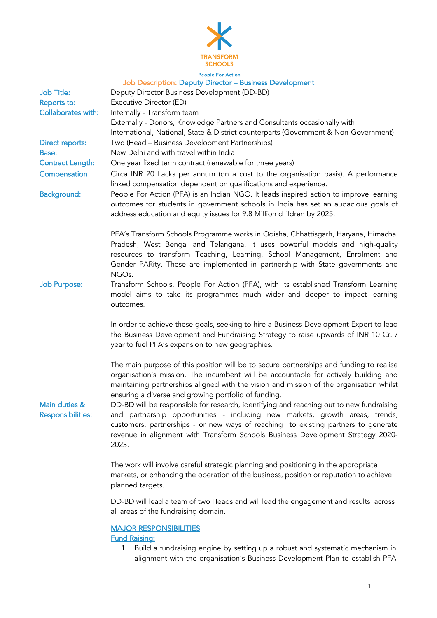

#### **People For Action** Job Description: Deputy Director – Business Development

| Job Title:<br>Reports to:            | $\sim$ coorription. Before, Billocool Buonneco Bovenephilone<br>Deputy Director Business Development (DD-BD)<br>Executive Director (ED)                                                                                                                                                                                                                                                                                      |
|--------------------------------------|------------------------------------------------------------------------------------------------------------------------------------------------------------------------------------------------------------------------------------------------------------------------------------------------------------------------------------------------------------------------------------------------------------------------------|
| Collaborates with:                   | Internally - Transform team<br>Externally - Donors, Knowledge Partners and Consultants occasionally with                                                                                                                                                                                                                                                                                                                     |
| Direct reports:<br>Base:             | International, National, State & District counterparts (Government & Non-Government)<br>Two (Head - Business Development Partnerships)<br>New Delhi and with travel within India                                                                                                                                                                                                                                             |
| <b>Contract Length:</b>              | One year fixed term contract (renewable for three years)                                                                                                                                                                                                                                                                                                                                                                     |
| Compensation                         | Circa INR 20 Lacks per annum (on a cost to the organisation basis). A performance<br>linked compensation dependent on qualifications and experience.                                                                                                                                                                                                                                                                         |
| <b>Background:</b>                   | People For Action (PFA) is an Indian NGO. It leads inspired action to improve learning<br>outcomes for students in government schools in India has set an audacious goals of<br>address education and equity issues for 9.8 Million children by 2025.                                                                                                                                                                        |
|                                      | PFA's Transform Schools Programme works in Odisha, Chhattisgarh, Haryana, Himachal<br>Pradesh, West Bengal and Telangana. It uses powerful models and high-quality<br>resources to transform Teaching, Learning, School Management, Enrolment and<br>Gender PARity. These are implemented in partnership with State governments and<br>NGO <sub>s</sub> .                                                                    |
| <b>Job Purpose:</b><br>Main duties & | Transform Schools, People For Action (PFA), with its established Transform Learning<br>model aims to take its programmes much wider and deeper to impact learning<br>outcomes.                                                                                                                                                                                                                                               |
|                                      | In order to achieve these goals, seeking to hire a Business Development Expert to lead<br>the Business Development and Fundraising Strategy to raise upwards of INR 10 Cr. /<br>year to fuel PFA's expansion to new geographies.                                                                                                                                                                                             |
|                                      | The main purpose of this position will be to secure partnerships and funding to realise<br>organisation's mission. The incumbent will be accountable for actively building and<br>maintaining partnerships aligned with the vision and mission of the organisation whilst<br>ensuring a diverse and growing portfolio of funding.<br>DD-BD will be responsible for research, identifying and reaching out to new fundraising |
| <b>Responsibilities:</b>             | and partnership opportunities - including new markets, growth areas, trends,<br>customers, partnerships - or new ways of reaching to existing partners to generate<br>revenue in alignment with Transform Schools Business Development Strategy 2020-<br>2023.                                                                                                                                                               |
|                                      | The work will involve careful strategic planning and positioning in the appropriate<br>markets, or enhancing the operation of the business, position or reputation to achieve<br>planned targets.                                                                                                                                                                                                                            |
|                                      | DD-BD will lead a team of two Heads and will lead the engagement and results across<br>all areas of the fundraising domain.                                                                                                                                                                                                                                                                                                  |
|                                      | <b>MAJOR RESPONSIBILITIES</b><br><b>Fund Raising:</b>                                                                                                                                                                                                                                                                                                                                                                        |

1. Build a fundraising engine by setting up a robust and systematic mechanism in alignment with the organisation's Business Development Plan to establish PFA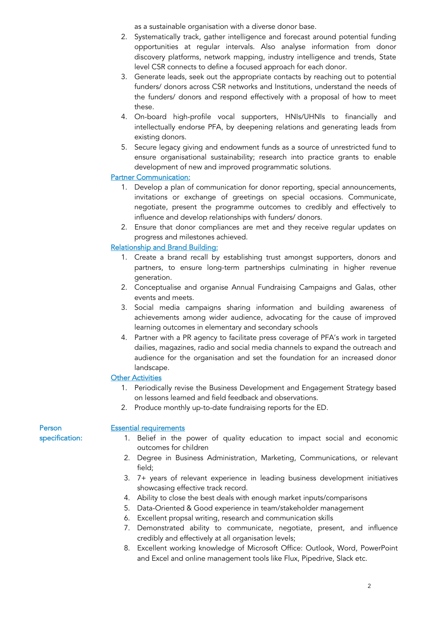as a sustainable organisation with a diverse donor base.

- 2. Systematically track, gather intelligence and forecast around potential funding opportunities at regular intervals. Also analyse information from donor discovery platforms, network mapping, industry intelligence and trends, State level CSR connects to define a focused approach for each donor.
- 3. Generate leads, seek out the appropriate contacts by reaching out to potential funders/ donors across CSR networks and Institutions, understand the needs of the funders/ donors and respond effectively with a proposal of how to meet these.
- 4. On-board high-profile vocal supporters, HNIs/UHNIs to financially and intellectually endorse PFA, by deepening relations and generating leads from existing donors.
- 5. Secure legacy giving and endowment funds as a source of unrestricted fund to ensure organisational sustainability; research into practice grants to enable development of new and improved programmatic solutions.

## Partner Communication:

- 1. Develop a plan of communication for donor reporting, special announcements, invitations or exchange of greetings on special occasions. Communicate, negotiate, present the programme outcomes to credibly and effectively to influence and develop relationships with funders/ donors.
- 2. Ensure that donor compliances are met and they receive regular updates on progress and milestones achieved.

# Relationship and Brand Building:

- 1. Create a brand recall by establishing trust amongst supporters, donors and partners, to ensure long-term partnerships culminating in higher revenue generation.
- 2. Conceptualise and organise Annual Fundraising Campaigns and Galas, other events and meets.
- 3. Social media campaigns sharing information and building awareness of achievements among wider audience, advocating for the cause of improved learning outcomes in elementary and secondary schools
- 4. Partner with a PR agency to facilitate press coverage of PFA's work in targeted dailies, magazines, radio and social media channels to expand the outreach and audience for the organisation and set the foundation for an increased donor landscape.

## **Other Activities**

- 1. Periodically revise the Business Development and Engagement Strategy based on lessons learned and field feedback and observations.
- 2. Produce monthly up-to-date fundraising reports for the ED.

Person specification:

#### Essential requirements

- 1. Belief in the power of quality education to impact social and economic outcomes for children
- 2. Degree in Business Administration, Marketing, Communications, or relevant field;
- 3. 7+ years of relevant experience in leading business development initiatives showcasing effective track record.
- 4. Ability to close the best deals with enough market inputs/comparisons
- 5. Data-Oriented & Good experience in team/stakeholder management
- 6. Excellent propsal writing, research and communication skills
- 7. Demonstrated ability to communicate, negotiate, present, and influence credibly and effectively at all organisation levels;
- 8. Excellent working knowledge of Microsoft Office: Outlook, Word, PowerPoint and Excel and online management tools like Flux, Pipedrive, Slack etc.